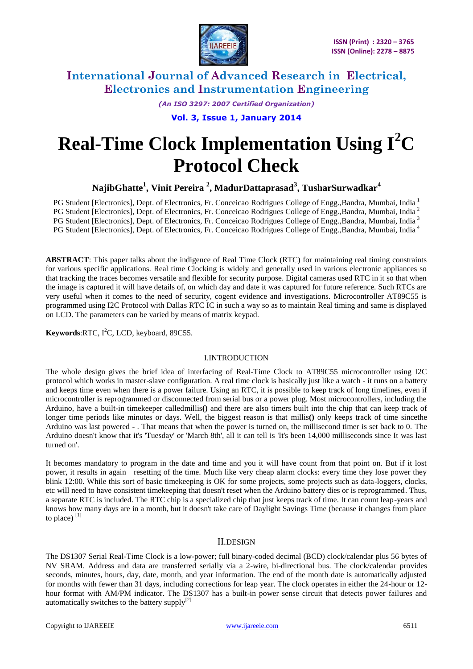

> *(An ISO 3297: 2007 Certified Organization)* **Vol. 3, Issue 1, January 2014**

# **Real-Time Clock Implementation Using I<sup>2</sup>C Protocol Check**

**NajibGhatte<sup>1</sup> , Vinit Pereira <sup>2</sup> , MadurDattaprasad<sup>3</sup> , TusharSurwadkar<sup>4</sup>**

PG Student [Electronics], Dept. of Electronics, Fr. Conceicao Rodrigues College of Engg., Bandra, Mumbai, India 1 PG Student [Electronics], Dept. of Electronics, Fr. Conceicao Rodrigues College of Engg., Bandra, Mumbai, India<sup>2</sup> PG Student [Electronics], Dept. of Electronics, Fr. Conceicao Rodrigues College of Engg.,Bandra, Mumbai, India<sup>3</sup> PG Student [Electronics], Dept. of Electronics, Fr. Conceicao Rodrigues College of Engg., Bandra, Mumbai, India<sup>4</sup>

**ABSTRACT**: This paper talks about the indigence of Real Time Clock (RTC) for maintaining real timing constraints for various specific applications. Real time Clocking is widely and generally used in various electronic appliances so that tracking the traces becomes versatile and flexible for security purpose. Digital cameras used RTC in it so that when the image is captured it will have details of, on which day and date it was captured for future reference. Such RTCs are very useful when it comes to the need of security, cogent evidence and investigations. Microcontroller AT89C55 is programmed using I2C Protocol with Dallas RTC IC in such a way so as to maintain Real timing and same is displayed on LCD. The parameters can be varied by means of matrix keypad.

**Keywords:**RTC, I<sup>2</sup>C, LCD, keyboard, 89C55.

### I.INTRODUCTION

The whole design gives the brief idea of interfacing of Real-Time Clock to AT89C55 microcontroller using I2C protocol which works in master-slave configuration. A real time clock is basically just like a watch - it runs on a battery and keeps time even when there is a power failure. Using an RTC, it is possible to keep track of long timelines, even if microcontroller is reprogrammed or disconnected from serial bus or a power plug. Most microcontrollers, including the Arduino, have a built-in timekeeper calledmillis**()** and there are also timers built into the chip that can keep track of longer time periods like minutes or days. Well, the biggest reason is that millis**()** only keeps track of time sincethe Arduino was last powered **-** . That means that when the power is turned on, the millisecond timer is set back to 0. The Arduino doesn't know that it's 'Tuesday' or 'March 8th', all it can tell is 'It's been 14,000 milliseconds since It was last turned on'.

It becomes mandatory to program in the date and time and you it will have count from that point on. But if it lost power, it results in again resetting of the time. Much like very cheap alarm clocks: every time they lose power they blink 12:00. While this sort of basic timekeeping is OK for some projects, some projects such as data-loggers, clocks, etc will need to have consistent timekeeping that doesn't reset when the Arduino battery dies or is reprogrammed. Thus, a separate RTC is included. The RTC chip is a specialized chip that just keeps track of time. It can count leap-years and knows how many days are in a month, but it doesn't take care of Daylight Savings Time (because it changes from place to place) $^{[1]}$ 

### II.DESIGN

The DS1307 Serial Real-Time Clock is a low-power; full binary-coded decimal (BCD) clock/calendar plus 56 bytes of NV SRAM. Address and data are transferred serially via a 2-wire, bi-directional bus. The clock/calendar provides seconds, minutes, hours, day, date, month, and year information. The end of the month date is automatically adjusted for months with fewer than 31 days, including corrections for leap year. The clock operates in either the 24-hour or 12 hour format with AM/PM indicator. The DS1307 has a built-in power sense circuit that detects power failures and automatically switches to the battery supply $[2]$ .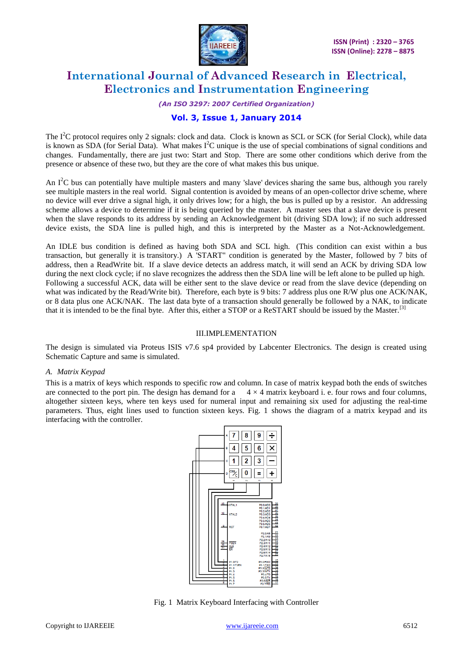

### *(An ISO 3297: 2007 Certified Organization)*

### **Vol. 3, Issue 1, January 2014**

The  $I<sup>2</sup>C$  protocol requires only 2 signals: clock and data. Clock is known as SCL or SCK (for Serial Clock), while data is known as SDA (for Serial Data). What makes  $I^2C$  unique is the use of special combinations of signal conditions and changes. Fundamentally, there are just two: Start and Stop. There are some other conditions which derive from the presence or absence of these two, but they are the core of what makes this bus unique.

An  $I^2C$  bus can potentially have multiple masters and many 'slave' devices sharing the same bus, although you rarely see multiple masters in the real world. Signal contention is avoided by means of an open-collector drive scheme, where no device will ever drive a signal high, it only drives low; for a high, the bus is pulled up by a resistor. An addressing scheme allows a device to determine if it is being queried by the master. A master sees that a slave device is present when the slave responds to its address by sending an Acknowledgement bit (driving SDA low); if no such addressed device exists, the SDA line is pulled high, and this is interpreted by the Master as a Not-Acknowledgement.

An IDLE bus condition is defined as having both SDA and SCL high. (This condition can exist within a bus transaction, but generally it is transitory.) A 'START" condition is generated by the Master, followed by 7 bits of address, then a ReadWrite bit. If a slave device detects an address match, it will send an ACK by driving SDA low during the next clock cycle; if no slave recognizes the address then the SDA line will be left alone to be pulled up high. Following a successful ACK, data will be either sent to the slave device or read from the slave device (depending on what was indicated by the Read/Write bit). Therefore, each byte is 9 bits: 7 address plus one R/W plus one ACK/NAK, or 8 data plus one ACK/NAK. The last data byte of a transaction should generally be followed by a NAK, to indicate that it is intended to be the final byte. After this, either a STOP or a ReSTART should be issued by the Master.<sup>[3]</sup>

### III.IMPLEMENTATION

The design is simulated via Proteus ISIS v7.6 sp4 provided by Labcenter Electronics. The design is created using Schematic Capture and same is simulated.

### *A. Matrix Keypad*

This is a matrix of keys which responds to specific row and column. In case of matrix keypad both the ends of switches are connected to the port pin. The design has demand for a  $4 \times 4$  matrix keyboard i. e. four rows and four columns, altogether sixteen keys, where ten keys used for numeral input and remaining six used for adjusting the real-time parameters. Thus, eight lines used to function sixteen keys. Fig. 1 shows the diagram of a matrix keypad and its interfacing with the controller.



Fig. 1 Matrix Keyboard Interfacing with Controller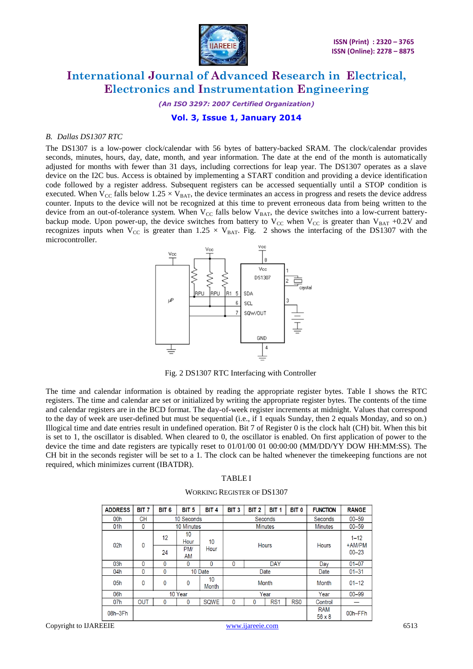

*(An ISO 3297: 2007 Certified Organization)*

**Vol. 3, Issue 1, January 2014**

### *B. Dallas DS1307 RTC*

The DS1307 is a low-power clock/calendar with 56 bytes of battery-backed SRAM. The clock/calendar provides seconds, minutes, hours, day, date, month, and year information. The date at the end of the month is automatically adjusted for months with fewer than 31 days, including corrections for leap year. The DS1307 operates as a slave device on the I2C bus. Access is obtained by implementing a START condition and providing a device identification code followed by a register address. Subsequent registers can be accessed sequentially until a STOP condition is executed. When  $V_{CC}$  falls below 1.25  $\times$  V<sub>BAT</sub>, the device terminates an access in progress and resets the device address counter. Inputs to the device will not be recognized at this time to prevent erroneous data from being written to the device from an out-of-tolerance system. When  $V_{CC}$  falls below  $V_{BAT}$ , the device switches into a low-current batterybackup mode. Upon power-up, the device switches from battery to  $V_{CC}$  when  $V_{CC}$  is greater than  $V_{BAT}$  +0.2V and recognizes inputs when  $V_{CC}$  is greater than 1.25  $\times$  V<sub>BAT</sub>. Fig. 2 shows the interfacing of the DS1307 with the microcontroller.



Fig. 2 DS1307 RTC Interfacing with Controller

The time and calendar information is obtained by reading the appropriate register bytes. Table I shows the RTC registers. The time and calendar are set or initialized by writing the appropriate register bytes. The contents of the time and calendar registers are in the BCD format. The day-of-week register increments at midnight. Values that correspond to the day of week are user-defined but must be sequential (i.e., if 1 equals Sunday, then 2 equals Monday, and so on.) Illogical time and date entries result in undefined operation. Bit 7 of Register 0 is the clock halt (CH) bit. When this bit is set to 1, the oscillator is disabled. When cleared to 0, the oscillator is enabled. On first application of power to the device the time and date registers are typically reset to 01/01/00 01 00:00:00 (MM/DD/YY DOW HH:MM:SS). The CH bit in the seconds register will be set to a 1. The clock can be halted whenever the timekeeping functions are not required, which minimizes current (IBATDR).

#### TABLE I

#### WORKING REGISTER OF DS1307

| <b>ADDRESS</b>  | <b>BIT 7</b> | BIT <sub>6</sub>        | BIT <sub>5</sub> | BIT <sub>4</sub> | BIT <sub>3</sub>           | BIT <sub>2</sub> | BIT <sub>1</sub> | BIT <sub>0</sub> | <b>FUNCTION</b>             | <b>RANGE</b>       |
|-----------------|--------------|-------------------------|------------------|------------------|----------------------------|------------------|------------------|------------------|-----------------------------|--------------------|
| 00h             | <b>CH</b>    | 10 Seconds              |                  |                  | <b>Seconds</b>             |                  |                  |                  | Seconds                     | $00 - 59$          |
| 01h             | 0            | 10 Minutes              |                  |                  | <b>Minutes</b>             |                  |                  |                  | <b>Minutes</b>              | $00 - 59$          |
| 02 <sub>h</sub> | 0            | 12                      | 10<br>Hour       | 10               | <b>Hours</b>               |                  |                  |                  | <b>Hours</b>                | $1 - 12$<br>+AM/PM |
|                 |              | 24                      | PM/<br><b>AM</b> | Hour             |                            |                  |                  |                  |                             | $00 - 23$          |
| 03h             | $\mathbf{0}$ | $\mathbf{0}$            | 0                | 0                | $\mathbf{0}$<br><b>DAY</b> |                  |                  | Day              | $01 - 07$                   |                    |
| 04h             | 0            | $\mathbf{0}$<br>10 Date |                  |                  | Date                       |                  |                  |                  | Date                        | $01 - 31$          |
| 05h             | $\mathbf{0}$ | $\mathbf{0}$            | 0                | 10<br>Month      | <b>Month</b>               |                  |                  |                  | Month                       | $01 - 12$          |
| 06h             | 10 Year      |                         |                  |                  | Year                       |                  |                  |                  | Year                        | $00 - 99$          |
| 07h             | <b>OUT</b>   | $\Omega$                | $\mathbf 0$      | <b>SQWE</b>      | $\mathbf{0}$               | 0                | RS <sub>1</sub>  | RS <sub>0</sub>  | Control                     |                    |
| 08h-3Fh         |              |                         |                  |                  |                            |                  |                  |                  | <b>RAM</b><br>$56 \times 8$ | 00h-FFh            |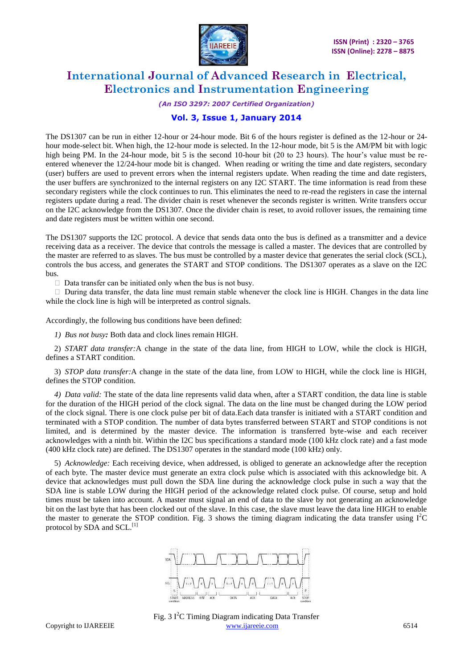

#### *(An ISO 3297: 2007 Certified Organization)*

### **Vol. 3, Issue 1, January 2014**

The DS1307 can be run in either 12-hour or 24-hour mode. Bit 6 of the hours register is defined as the 12-hour or 24 hour mode-select bit. When high, the 12-hour mode is selected. In the 12-hour mode, bit 5 is the AM/PM bit with logic high being PM. In the 24-hour mode, bit 5 is the second 10-hour bit (20 to 23 hours). The hour's value must be reentered whenever the 12/24-hour mode bit is changed. When reading or writing the time and date registers, secondary (user) buffers are used to prevent errors when the internal registers update. When reading the time and date registers, the user buffers are synchronized to the internal registers on any I2C START. The time information is read from these secondary registers while the clock continues to run. This eliminates the need to re-read the registers in case the internal registers update during a read. The divider chain is reset whenever the seconds register is written. Write transfers occur on the I2C acknowledge from the DS1307. Once the divider chain is reset, to avoid rollover issues, the remaining time and date registers must be written within one second.

The DS1307 supports the I2C protocol. A device that sends data onto the bus is defined as a transmitter and a device receiving data as a receiver. The device that controls the message is called a master. The devices that are controlled by the master are referred to as slaves. The bus must be controlled by a master device that generates the serial clock (SCL), controls the bus access, and generates the START and STOP conditions. The DS1307 operates as a slave on the I2C bus.

 $\Box$  Data transfer can be initiated only when the bus is not busy.

 $\Box$  During data transfer, the data line must remain stable whenever the clock line is HIGH. Changes in the data line while the clock line is high will be interpreted as control signals.

Accordingly, the following bus conditions have been defined:

*1) Bus not busy:* Both data and clock lines remain HIGH.

2) *START data transfer:*A change in the state of the data line, from HIGH to LOW, while the clock is HIGH, defines a START condition.

3) *STOP data transfer:*A change in the state of the data line, from LOW to HIGH, while the clock line is HIGH, defines the STOP condition.

*4) Data valid:* The state of the data line represents valid data when, after a START condition, the data line is stable for the duration of the HIGH period of the clock signal. The data on the line must be changed during the LOW period of the clock signal. There is one clock pulse per bit of data.Each data transfer is initiated with a START condition and terminated with a STOP condition. The number of data bytes transferred between START and STOP conditions is not limited, and is determined by the master device. The information is transferred byte-wise and each receiver acknowledges with a ninth bit. Within the I2C bus specifications a standard mode (100 kHz clock rate) and a fast mode (400 kHz clock rate) are defined. The DS1307 operates in the standard mode (100 kHz) only.

5) *Acknowledge:* Each receiving device, when addressed, is obliged to generate an acknowledge after the reception of each byte. The master device must generate an extra clock pulse which is associated with this acknowledge bit. A device that acknowledges must pull down the SDA line during the acknowledge clock pulse in such a way that the SDA line is stable LOW during the HIGH period of the acknowledge related clock pulse. Of course, setup and hold times must be taken into account. A master must signal an end of data to the slave by not generating an acknowledge bit on the last byte that has been clocked out of the slave. In this case, the slave must leave the data line HIGH to enable the master to generate the STOP condition. Fig. 3 shows the timing diagram indicating the data transfer using  $I^2C$ protocol by SDA and SCL.<sup>[1]</sup>



Copyright to IJAREEIE [www.ijareeie.com](http://www.ijareeie.com/) 6514 Fig. 3  $I<sup>2</sup>C$  Timing Diagram indicating Data Transfer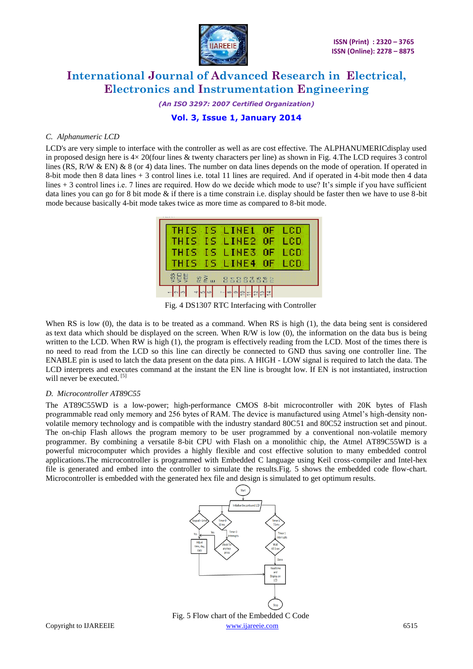

*(An ISO 3297: 2007 Certified Organization)*

**Vol. 3, Issue 1, January 2014**

### *C. Alphanumeric LCD*

LCD's are very simple to interface with the controller as well as are cost effective. The ALPHANUMERICdisplay used in proposed design here is 4× 20(four lines & twenty characters per line) as shown in Fig. 4.The LCD requires 3 control lines (RS, R/W & EN) & 8 (or 4) data lines. The number on data lines depends on the mode of operation. If operated in 8-bit mode then 8 data lines + 3 control lines i.e. total 11 lines are required. And if operated in 4-bit mode then 4 data lines + 3 control lines i.e. 7 lines are required. How do we decide which mode to use? It's simple if you have sufficient data lines you can go for 8 bit mode  $\&$  if there is a time constrain i.e. display should be faster then we have to use 8-bit mode because basically 4-bit mode takes twice as more time as compared to 8-bit mode.



Fig. 4 DS1307 RTC Interfacing with Controller

When RS is low (0), the data is to be treated as a command. When RS is high (1), the data being sent is considered as text data which should be displayed on the screen. When R/W is low (0), the information on the data bus is being written to the LCD. When RW is high (1), the program is effectively reading from the LCD. Most of the times there is no need to read from the LCD so this line can directly be connected to GND thus saving one controller line. The ENABLE pin is used to latch the data present on the data pins. A HIGH - LOW signal is required to latch the data. The LCD interprets and executes command at the instant the EN line is brought low. If EN is not instantiated, instruction will never be executed.<sup>[5]</sup>

### *D. Microcontroller AT89C55*

The AT89C55WD is a low-power; high-performance CMOS 8-bit microcontroller with 20K bytes of Flash programmable read only memory and 256 bytes of RAM. The device is manufactured using Atmel's high-density nonvolatile memory technology and is compatible with the industry standard 80C51 and 80C52 instruction set and pinout. The on-chip Flash allows the program memory to be user programmed by a conventional non-volatile memory programmer. By combining a versatile 8-bit CPU with Flash on a monolithic chip, the Atmel AT89C55WD is a powerful microcomputer which provides a highly flexible and cost effective solution to many embedded control applications.The microcontroller is programmed with Embedded C language using Keil cross-compiler and Intel-hex file is generated and embed into the controller to simulate the results.Fig. 5 shows the embedded code flow-chart. Microcontroller is embedded with the generated hex file and design is simulated to get optimum results.